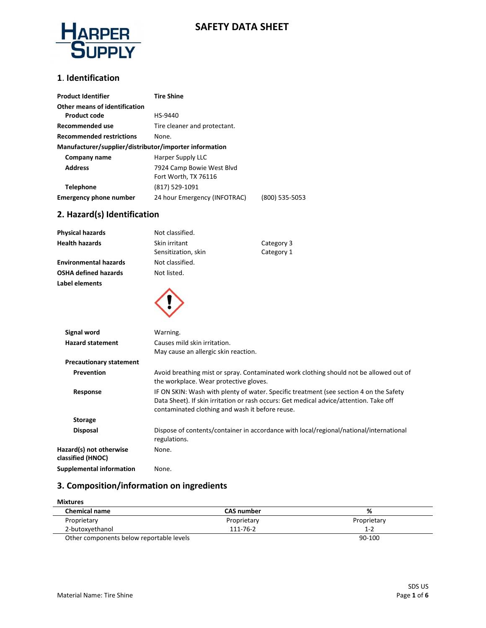

### **SAFETY DATA SHEET**

#### **1**. **Identification**

| <b>Product Identifier</b>                              | <b>Tire Shine</b>            |                |  |
|--------------------------------------------------------|------------------------------|----------------|--|
| Other means of identification                          |                              |                |  |
| <b>Product code</b>                                    | HS-9440                      |                |  |
| Recommended use                                        | Tire cleaner and protectant. |                |  |
| <b>Recommended restrictions</b>                        | None.                        |                |  |
| Manufacturer/supplier/distributor/importer information |                              |                |  |
| Company name                                           | Harper Supply LLC            |                |  |
| <b>Address</b>                                         | 7924 Camp Bowie West Blvd    |                |  |
|                                                        | Fort Worth, TX 76116         |                |  |
| <b>Telephone</b>                                       | (817) 529-1091               |                |  |
| Emergency phone number                                 | 24 hour Emergency (INFOTRAC) | (800) 535-5053 |  |

### **2. Hazard(s) Identification**

| <b>Physical hazards</b>                      | Not classified.                                 |                                                                                                                                                                                  |
|----------------------------------------------|-------------------------------------------------|----------------------------------------------------------------------------------------------------------------------------------------------------------------------------------|
| <b>Health hazards</b>                        | Skin irritant                                   | Category 3                                                                                                                                                                       |
|                                              | Sensitization, skin                             | Category 1                                                                                                                                                                       |
| <b>Environmental hazards</b>                 | Not classified.                                 |                                                                                                                                                                                  |
| <b>OSHA defined hazards</b>                  | Not listed.                                     |                                                                                                                                                                                  |
| Label elements                               |                                                 |                                                                                                                                                                                  |
|                                              |                                                 |                                                                                                                                                                                  |
| <b>Signal word</b>                           | Warning.                                        |                                                                                                                                                                                  |
| <b>Hazard statement</b>                      | Causes mild skin irritation.                    |                                                                                                                                                                                  |
|                                              | May cause an allergic skin reaction.            |                                                                                                                                                                                  |
| <b>Precautionary statement</b>               |                                                 |                                                                                                                                                                                  |
| Prevention                                   | the workplace. Wear protective gloves.          | Avoid breathing mist or spray. Contaminated work clothing should not be allowed out of                                                                                           |
| Response                                     | contaminated clothing and wash it before reuse. | IF ON SKIN: Wash with plenty of water. Specific treatment (see section 4 on the Safety<br>Data Sheet). If skin irritation or rash occurs: Get medical advice/attention. Take off |
| <b>Storage</b>                               |                                                 |                                                                                                                                                                                  |
| <b>Disposal</b>                              | regulations.                                    | Dispose of contents/container in accordance with local/regional/national/international                                                                                           |
| Hazard(s) not otherwise<br>classified (HNOC) | None.                                           |                                                                                                                                                                                  |
| Supplemental information                     | None.                                           |                                                                                                                                                                                  |

### **3. Composition/information on ingredients**

| <b>Mixtures</b>                          |                   |             |  |
|------------------------------------------|-------------------|-------------|--|
| <b>Chemical name</b>                     | <b>CAS number</b> | %           |  |
| Proprietary                              | Proprietary       | Proprietary |  |
| 2-butoxyethanol                          | 111-76-2          | $1 - 2$     |  |
| Other components below reportable levels |                   | 90-100      |  |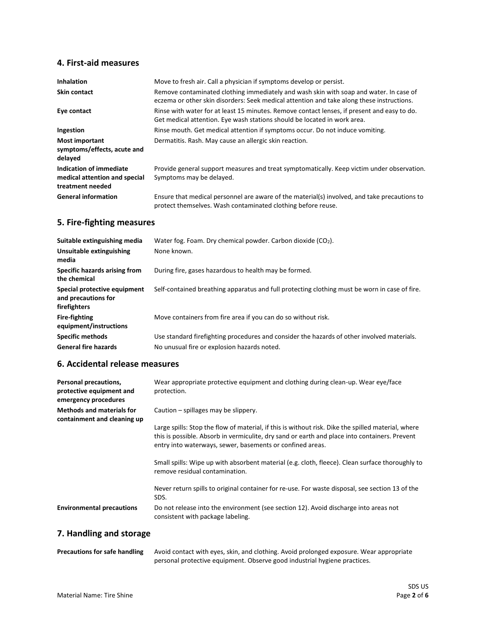## **4. First-aid measures**

| <b>Inhalation</b>                                                            | Move to fresh air. Call a physician if symptoms develop or persist.                                                                                                                 |
|------------------------------------------------------------------------------|-------------------------------------------------------------------------------------------------------------------------------------------------------------------------------------|
| <b>Skin contact</b>                                                          | Remove contaminated clothing immediately and wash skin with soap and water. In case of<br>eczema or other skin disorders: Seek medical attention and take along these instructions. |
| Eye contact                                                                  | Rinse with water for at least 15 minutes. Remove contact lenses, if present and easy to do.<br>Get medical attention. Eye wash stations should be located in work area.             |
| Ingestion                                                                    | Rinse mouth. Get medical attention if symptoms occur. Do not induce vomiting.                                                                                                       |
| <b>Most important</b><br>symptoms/effects, acute and<br>delayed              | Dermatitis. Rash. May cause an allergic skin reaction.                                                                                                                              |
| Indication of immediate<br>medical attention and special<br>treatment needed | Provide general support measures and treat symptomatically. Keep victim under observation.<br>Symptoms may be delayed.                                                              |
| <b>General information</b>                                                   | Ensure that medical personnel are aware of the material(s) involved, and take precautions to<br>protect themselves. Wash contaminated clothing before reuse.                        |

## **5. Fire-fighting measures**

| Suitable extinguishing media                                        | Water fog. Foam. Dry chemical powder. Carbon dioxide (CO <sub>2</sub> ).                      |
|---------------------------------------------------------------------|-----------------------------------------------------------------------------------------------|
| Unsuitable extinguishing<br>media                                   | None known.                                                                                   |
| Specific hazards arising from<br>the chemical                       | During fire, gases hazardous to health may be formed.                                         |
| Special protective equipment<br>and precautions for<br>firefighters | Self-contained breathing apparatus and full protecting clothing must be worn in case of fire. |
| <b>Fire-fighting</b><br>equipment/instructions                      | Move containers from fire area if you can do so without risk.                                 |
| <b>Specific methods</b>                                             | Use standard firefighting procedures and consider the hazards of other involved materials.    |
| <b>General fire hazards</b>                                         | No unusual fire or explosion hazards noted.                                                   |

## **6. Accidental release measures**

| Personal precautions,<br>protective equipment and<br>emergency procedures | Wear appropriate protective equipment and clothing during clean-up. Wear eye/face<br>protection.                                                                                                                                                                                                         |
|---------------------------------------------------------------------------|----------------------------------------------------------------------------------------------------------------------------------------------------------------------------------------------------------------------------------------------------------------------------------------------------------|
| <b>Methods and materials for</b><br>containment and cleaning up           | Caution – spillages may be slippery.<br>Large spills: Stop the flow of material, if this is without risk. Dike the spilled material, where<br>this is possible. Absorb in vermiculite, dry sand or earth and place into containers. Prevent<br>entry into waterways, sewer, basements or confined areas. |
|                                                                           | Small spills: Wipe up with absorbent material (e.g. cloth, fleece). Clean surface thoroughly to<br>remove residual contamination.                                                                                                                                                                        |
|                                                                           | Never return spills to original container for re-use. For waste disposal, see section 13 of the<br>SDS.                                                                                                                                                                                                  |
| <b>Environmental precautions</b>                                          | Do not release into the environment (see section 12). Avoid discharge into areas not<br>consistent with package labeling.                                                                                                                                                                                |

## **7. Handling and storage**

| <b>Precautions for safe handling</b> | Avoid contact with eyes, skin, and clothing. Avoid prolonged exposure. Wear appropriate |  |
|--------------------------------------|-----------------------------------------------------------------------------------------|--|
|                                      | personal protective equipment. Observe good industrial hygiene practices.               |  |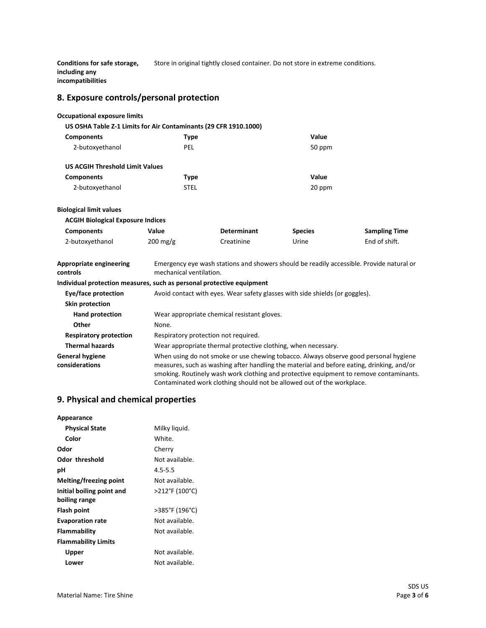**Conditions for safe storage, including any incompatibilities** Store in original tightly closed container. Do not store in extreme conditions.

### **8. Exposure controls/personal protection**

#### **Occupational exposure limits**

|                                        | US OSHA Table Z-1 Limits for Air Contaminants (29 CFR 1910.1000) |        |
|----------------------------------------|------------------------------------------------------------------|--------|
| <b>Components</b>                      | Type                                                             | Value  |
| 2-butoxyethanol                        | PEL                                                              | 50 ppm |
| <b>US ACGIH Threshold Limit Values</b> |                                                                  |        |
| <b>Components</b>                      | Type                                                             | Value  |
| 2-butoxyethanol                        | STEL                                                             | 20 ppm |

#### **Biological limit values**

| <b>ACGIH Biological Exposure Indices</b> |                       |                    |                |                      |
|------------------------------------------|-----------------------|--------------------|----------------|----------------------|
| <b>Components</b>                        | Value                 | <b>Determinant</b> | <b>Species</b> | <b>Sampling Time</b> |
| 2-butoxyethanol                          | $200 \,\mathrm{mg/g}$ | Creatinine         | Urine          | End of shift.        |

| Appropriate engineering<br>controls      | Emergency eye wash stations and showers should be readily accessible. Provide natural or<br>mechanical ventilation.                                                                                                                                                                                                                                   |  |
|------------------------------------------|-------------------------------------------------------------------------------------------------------------------------------------------------------------------------------------------------------------------------------------------------------------------------------------------------------------------------------------------------------|--|
|                                          | Individual protection measures, such as personal protective equipment                                                                                                                                                                                                                                                                                 |  |
| Eye/face protection                      | Avoid contact with eyes. Wear safety glasses with side shields (or goggles).                                                                                                                                                                                                                                                                          |  |
| Skin protection                          |                                                                                                                                                                                                                                                                                                                                                       |  |
| <b>Hand protection</b>                   | Wear appropriate chemical resistant gloves.                                                                                                                                                                                                                                                                                                           |  |
| Other                                    | None.                                                                                                                                                                                                                                                                                                                                                 |  |
| <b>Respiratory protection</b>            | Respiratory protection not required.                                                                                                                                                                                                                                                                                                                  |  |
| <b>Thermal hazards</b>                   | Wear appropriate thermal protective clothing, when necessary.                                                                                                                                                                                                                                                                                         |  |
| <b>General hygiene</b><br>considerations | When using do not smoke or use chewing tobacco. Always observe good personal hygiene<br>measures, such as washing after handling the material and before eating, drinking, and/or<br>smoking. Routinely wash work clothing and protective equipment to remove contaminants.<br>Contaminated work clothing should not be allowed out of the workplace. |  |

### **9. Physical and chemical properties**

| Appearance                 |                |
|----------------------------|----------------|
| <b>Physical State</b>      | Milky liquid.  |
| Color                      | White.         |
| Odor                       | Cherry         |
| Odor threshold             | Not available. |
| рH                         | $4.5 - 5.5$    |
| Melting/freezing point     | Not available. |
| Initial boiling point and  | >212°F (100°C) |
| boiling range              |                |
| Flash point                | >385°F (196°C) |
| <b>Evaporation rate</b>    | Not available. |
| Flammability               | Not available. |
| <b>Flammability Limits</b> |                |
| Upper                      | Not available. |
| Lower                      | Not available. |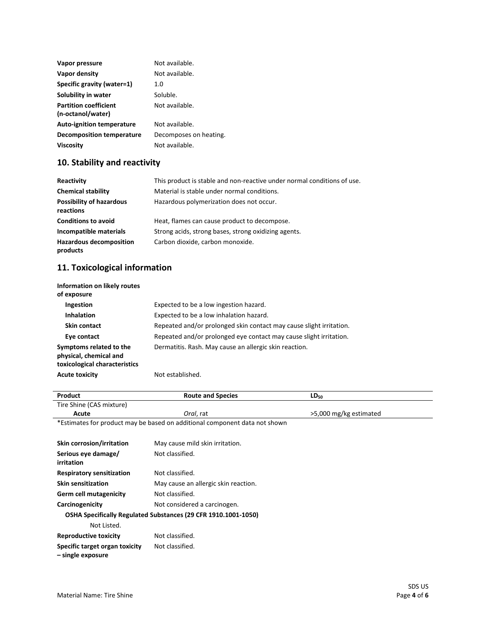| Vapor pressure                                    | Not available.         |
|---------------------------------------------------|------------------------|
| Vapor density                                     | Not available.         |
| Specific gravity (water=1)                        | 1.0                    |
| Solubility in water                               | Soluble.               |
| <b>Partition coefficient</b><br>(n-octanol/water) | Not available.         |
| <b>Auto-ignition temperature</b>                  | Not available.         |
| Decomposition temperature                         | Decomposes on heating. |
| <b>Viscosity</b>                                  | Not available.         |

## **10. Stability and reactivity**

| Reactivity                                   | This product is stable and non-reactive under normal conditions of use. |
|----------------------------------------------|-------------------------------------------------------------------------|
| <b>Chemical stability</b>                    | Material is stable under normal conditions.                             |
| <b>Possibility of hazardous</b><br>reactions | Hazardous polymerization does not occur.                                |
| <b>Conditions to avoid</b>                   | Heat, flames can cause product to decompose.                            |
| Incompatible materials                       | Strong acids, strong bases, strong oxidizing agents.                    |
| <b>Hazardous decomposition</b><br>products   | Carbon dioxide, carbon monoxide.                                        |

## **11. Toxicological information**

| Information on likely routes<br>of exposure                                        |                                                                     |
|------------------------------------------------------------------------------------|---------------------------------------------------------------------|
| <b>Ingestion</b>                                                                   | Expected to be a low ingestion hazard.                              |
| <b>Inhalation</b>                                                                  | Expected to be a low inhalation hazard.                             |
| Skin contact                                                                       | Repeated and/or prolonged skin contact may cause slight irritation. |
| Eye contact                                                                        | Repeated and/or prolonged eye contact may cause slight irritation.  |
| Symptoms related to the<br>physical, chemical and<br>toxicological characteristics | Dermatitis. Rash. May cause an allergic skin reaction.              |
| <b>Acute toxicity</b>                                                              | Not established.                                                    |

| Product                   | <b>Route and Species</b>                                                   | $LD_{50}$              |  |
|---------------------------|----------------------------------------------------------------------------|------------------------|--|
| Tire Shine (CAS mixture)  |                                                                            |                        |  |
| Acute                     | Oral, rat                                                                  | >5,000 mg/kg estimated |  |
|                           | *Estimates for product may be based on additional component data not shown |                        |  |
|                           |                                                                            |                        |  |
| Skin corrosion/irritation | May cause mild skin irritation.                                            |                        |  |
| Serious eye damage/       | Not classified.                                                            |                        |  |
| .                         |                                                                            |                        |  |

| irritation                       |                                                                |
|----------------------------------|----------------------------------------------------------------|
| <b>Respiratory sensitization</b> | Not classified.                                                |
| <b>Skin sensitization</b>        | May cause an allergic skin reaction.                           |
| Germ cell mutagenicity           | Not classified.                                                |
| Carcinogenicity                  | Not considered a carcinogen.                                   |
|                                  | OSHA Specifically Regulated Substances (29 CFR 1910.1001-1050) |
| Not Listed.                      |                                                                |
| <b>Reproductive toxicity</b>     | Not classified.                                                |
| Specific target organ toxicity   | Not classified.                                                |

**– single exposure**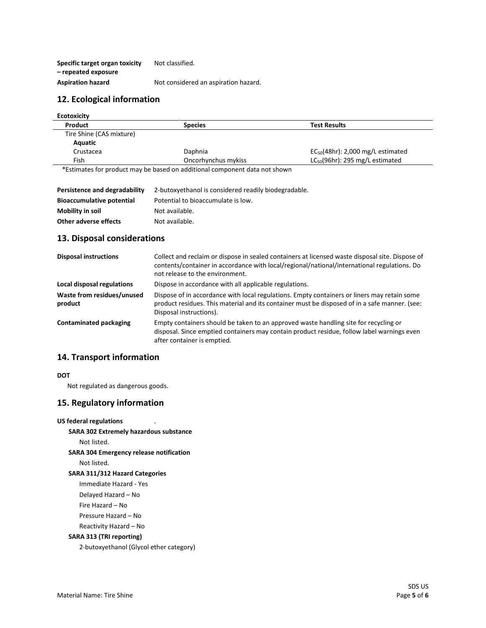**Specific target organ toxicity – repeated exposure** Not classified. Aspiration hazard **Not considered an aspiration hazard.** 

### **12. Ecological information**

| <b>Ecotoxicity</b>                      |                                                                                                                                                                                                                                 |                                        |
|-----------------------------------------|---------------------------------------------------------------------------------------------------------------------------------------------------------------------------------------------------------------------------------|----------------------------------------|
| Product                                 | <b>Species</b>                                                                                                                                                                                                                  | <b>Test Results</b>                    |
| Tire Shine (CAS mixture)                |                                                                                                                                                                                                                                 |                                        |
| Aquatic                                 |                                                                                                                                                                                                                                 |                                        |
| Crustacea                               | Daphnia                                                                                                                                                                                                                         | $EC_{50}(48hr)$ : 2,000 mg/L estimated |
| Fish                                    | Oncorhynchus mykiss                                                                                                                                                                                                             | $LC_{50}(96hr)$ : 295 mg/L estimated   |
| $\sim$ $\sim$ $\sim$ $\sim$ $\sim$<br>. | $\sim$ . The contract of the contract of the contract of the contract of the contract of the contract of the contract of the contract of the contract of the contract of the contract of the contract of the contract of the co |                                        |

\*Estimates for product may be based on additional component data not shown

| Persistence and degradability    | 2-butoxyethanol is considered readily biodegradable. |
|----------------------------------|------------------------------------------------------|
| <b>Bioaccumulative potential</b> | Potential to bioaccumulate is low.                   |
| Mobility in soil                 | Not available.                                       |
| Other adverse effects            | Not available.                                       |

### **13. Disposal considerations**

| <b>Disposal instructions</b>          | Collect and reclaim or dispose in sealed containers at licensed waste disposal site. Dispose of<br>contents/container in accordance with local/regional/national/international regulations. Do<br>not release to the environment. |
|---------------------------------------|-----------------------------------------------------------------------------------------------------------------------------------------------------------------------------------------------------------------------------------|
| Local disposal regulations            | Dispose in accordance with all applicable regulations.                                                                                                                                                                            |
| Waste from residues/unused<br>product | Dispose of in accordance with local regulations. Empty containers or liners may retain some<br>product residues. This material and its container must be disposed of in a safe manner. (see:<br>Disposal instructions).           |
| <b>Contaminated packaging</b>         | Empty containers should be taken to an approved waste handling site for recycling or<br>disposal. Since emptied containers may contain product residue, follow label warnings even<br>after container is emptied.                 |

### **14. Transport information**

#### **DOT**

Not regulated as dangerous goods.

### **15. Regulatory information**

#### **US federal regulations**

**SARA 302 Extremely hazardous substance**

Not listed.

**SARA 304 Emergency release notification**

Not listed.

#### **SARA 311/312 Hazard Categories**

Immediate Hazard - Yes

Delayed Hazard – No

Fire Hazard – No

Pressure Hazard – No

Reactivity Hazard – No

#### **SARA 313 (TRI reporting)**

2-butoxyethanol (Glycol ether category)